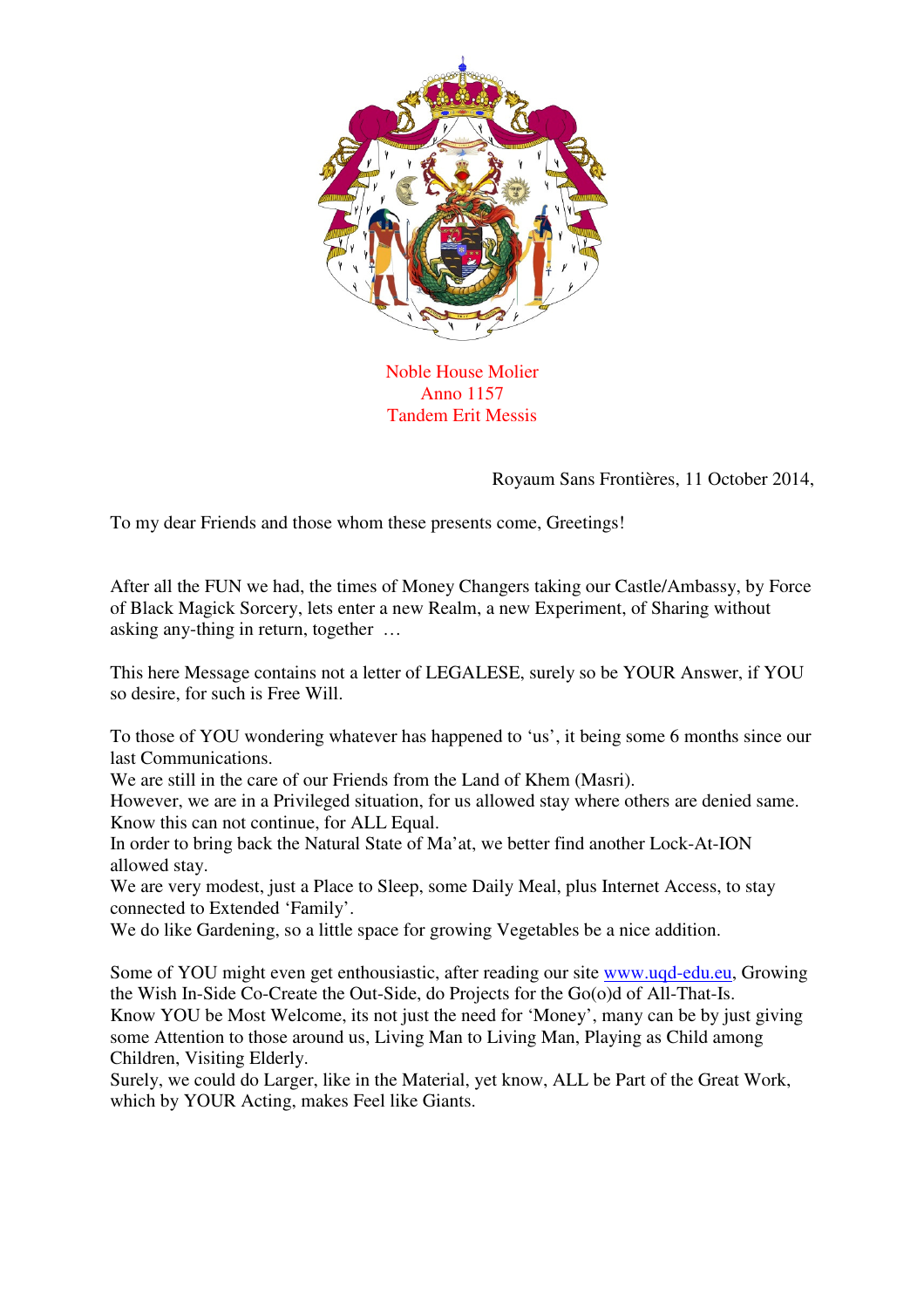

Noble House Molier Anno 1157 Tandem Erit Messis

Royaum Sans Frontières, 11 October 2014,

To my dear Friends and those whom these presents come, Greetings!

After all the FUN we had, the times of Money Changers taking our Castle/Ambassy, by Force of Black Magick Sorcery, lets enter a new Realm, a new Experiment, of Sharing without asking any-thing in return, together …

This here Message contains not a letter of LEGALESE, surely so be YOUR Answer, if YOU so desire, for such is Free Will.

To those of YOU wondering whatever has happened to 'us', it being some 6 months since our last Communications.

We are still in the care of our Friends from the Land of Khem (Masri).

However, we are in a Privileged situation, for us allowed stay where others are denied same. Know this can not continue, for ALL Equal.

In order to bring back the Natural State of Ma'at, we better find another Lock-At-ION allowed stay.

We are very modest, just a Place to Sleep, some Daily Meal, plus Internet Access, to stay connected to Extended 'Family'.

We do like Gardening, so a little space for growing Vegetables be a nice addition.

Some of YOU might even get enthousiastic, after reading our site www.uqd-edu.eu, Growing the Wish In-Side Co-Create the Out-Side, do Projects for the Go(o)d of All-That-Is. Know YOU be Most Welcome, its not just the need for 'Money', many can be by just giving some Attention to those around us, Living Man to Living Man, Playing as Child among Children, Visiting Elderly.

Surely, we could do Larger, like in the Material, yet know, ALL be Part of the Great Work, which by YOUR Acting, makes Feel like Giants.